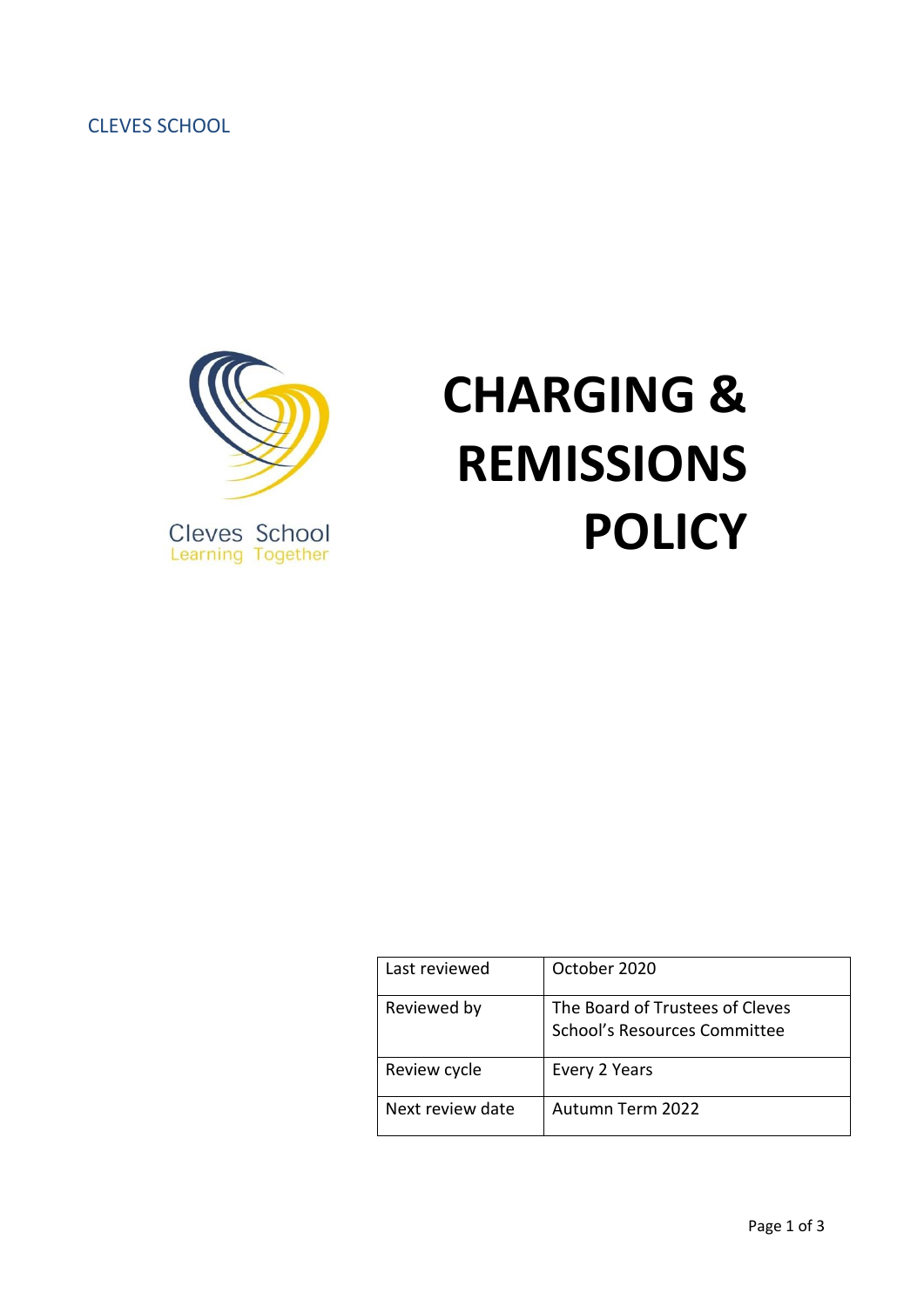CLEVES SCHOOL



# **CHARGING & REMISSIONS POLICY**

| Last reviewed    | October 2020                                                    |
|------------------|-----------------------------------------------------------------|
| Reviewed by      | The Board of Trustees of Cleves<br>School's Resources Committee |
| Review cycle     | Every 2 Years                                                   |
| Next review date | Autumn Term 2022                                                |

Page 1 of 3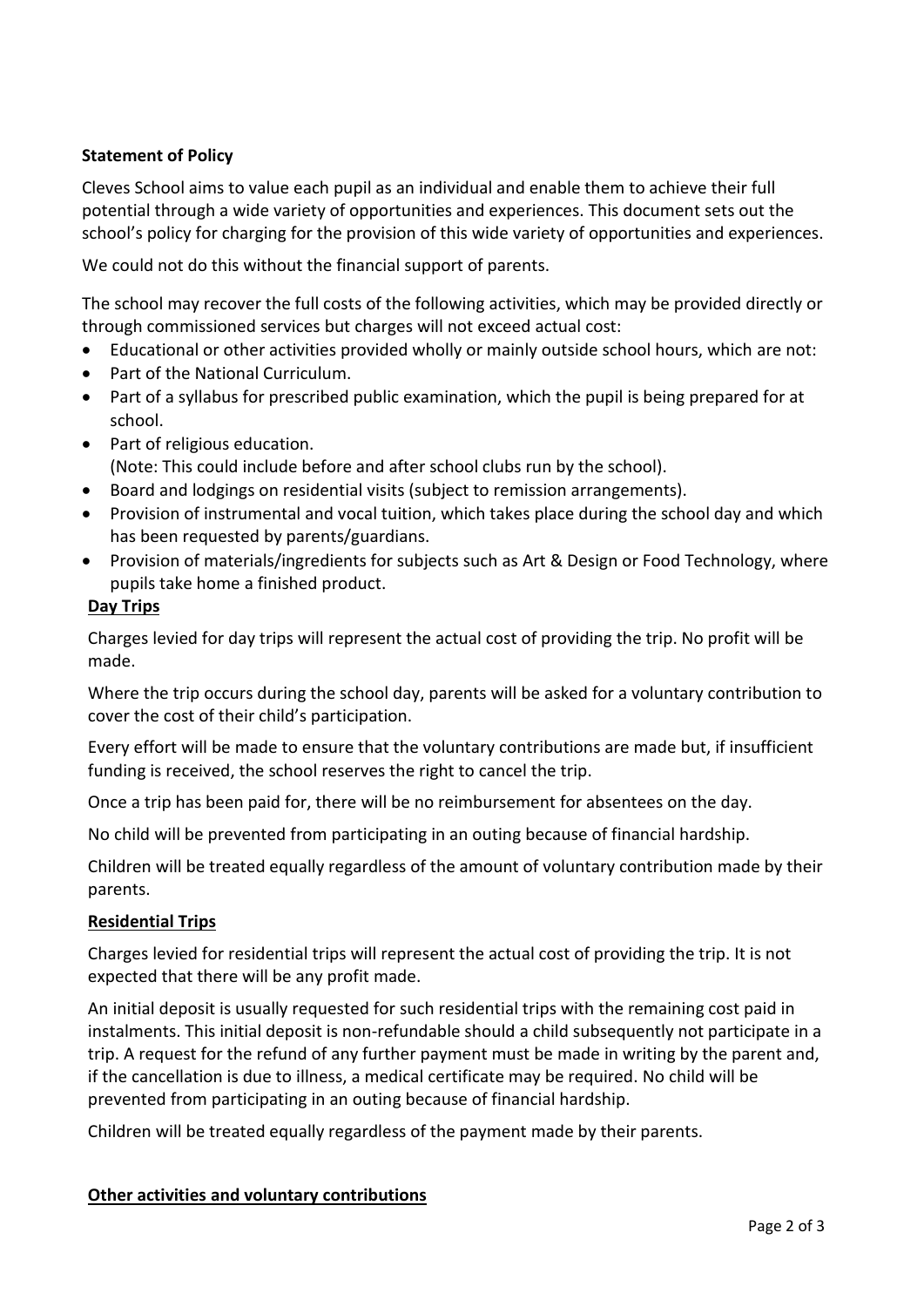## **Statement of Policy**

Cleves School aims to value each pupil as an individual and enable them to achieve their full potential through a wide variety of opportunities and experiences. This document sets out the school's policy for charging for the provision of this wide variety of opportunities and experiences.

We could not do this without the financial support of parents.

The school may recover the full costs of the following activities, which may be provided directly or through commissioned services but charges will not exceed actual cost:

- Educational or other activities provided wholly or mainly outside school hours, which are not:
- Part of the National Curriculum.
- Part of a syllabus for prescribed public examination, which the pupil is being prepared for at school.
- Part of religious education. (Note: This could include before and after school clubs run by the school).
- Board and lodgings on residential visits (subject to remission arrangements).
- Provision of instrumental and vocal tuition, which takes place during the school day and which has been requested by parents/guardians.
- Provision of materials/ingredients for subjects such as Art & Design or Food Technology, where pupils take home a finished product.

### **Day Trips**

Charges levied for day trips will represent the actual cost of providing the trip. No profit will be made.

Where the trip occurs during the school day, parents will be asked for a voluntary contribution to cover the cost of their child's participation.

Every effort will be made to ensure that the voluntary contributions are made but, if insufficient funding is received, the school reserves the right to cancel the trip.

Once a trip has been paid for, there will be no reimbursement for absentees on the day.

No child will be prevented from participating in an outing because of financial hardship.

Children will be treated equally regardless of the amount of voluntary contribution made by their parents.

### **Residential Trips**

Charges levied for residential trips will represent the actual cost of providing the trip. It is not expected that there will be any profit made.

An initial deposit is usually requested for such residential trips with the remaining cost paid in instalments. This initial deposit is non-refundable should a child subsequently not participate in a trip. A request for the refund of any further payment must be made in writing by the parent and, if the cancellation is due to illness, a medical certificate may be required. No child will be prevented from participating in an outing because of financial hardship.

Children will be treated equally regardless of the payment made by their parents.

### **Other activities and voluntary contributions**